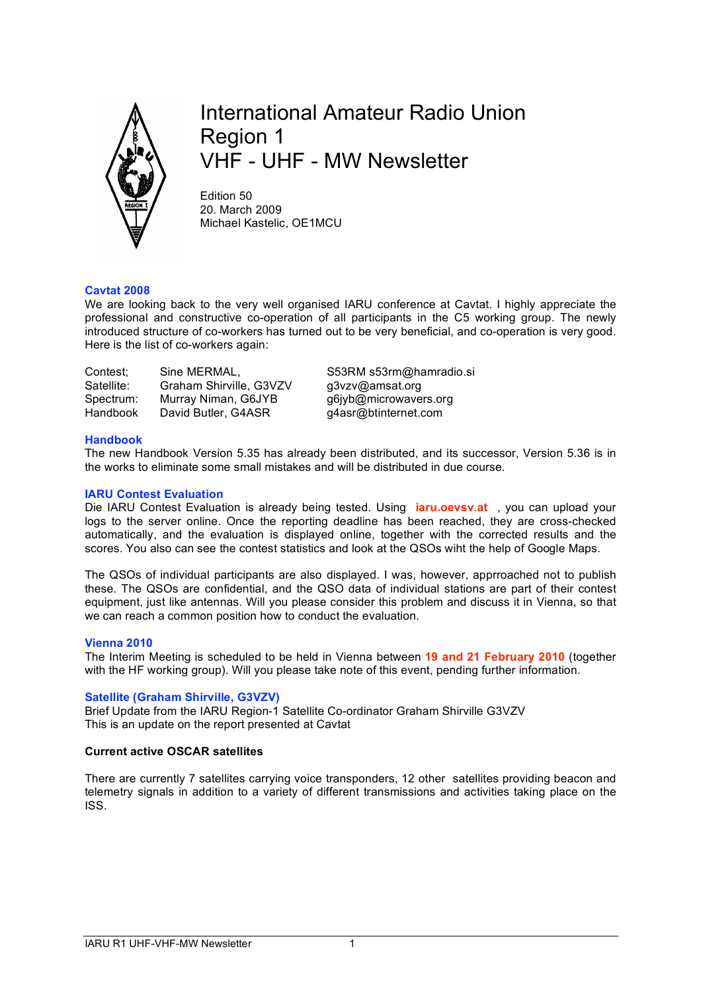

# International Amateur Radio Union Region 1 VHF - UHF - MW Newsletter

Edition 50 20. March 2009 Michael Kastelic, OE1MCU

# **Cavtat 2008**

We are looking back to the very well organised IARU conference at Cavtat. I highly appreciate the professional and constructive co-operation of all participants in the C5 working group. The newly introduced structure of co-workers has turned out to be very beneficial, and co-operation is very good. Here is the list of co-workers again:

| Contest;   | Sine MERMAL,            |  |
|------------|-------------------------|--|
| Satellite: | Graham Shirville, G3VZV |  |
| Spectrum:  | Murray Niman, G6JYB     |  |
| Handbook   | David Butler, G4ASR     |  |

S53RM s53rm@hamradio.si g3vzv@amsat.org g6jyb@microwavers.org q4asr@btinternet.com

## **Handbook**

The new Handbook Version 5.35 has already been distributed, and its successor, Version 5.36 is in the works to eliminate some small mistakes and will be distributed in due course.

# **IARU Contest Evaluation**

Die IARU Contest Evaluation is already being tested. Using **iaru.oevsv.at** , you can upload your logs to the server online. Once the reporting deadline has been reached, they are cross-checked automatically, and the evaluation is displayed online, together with the corrected results and the scores. You also can see the contest statistics and look at the QSOs wiht the help of Google Maps.

The QSOs of individual participants are also displayed. I was, however, apprroached not to publish these. The QSOs are confidential, and the QSO data of individual stations are part of their contest equipment, just like antennas. Will you please consider this problem and discuss it in Vienna, so that we can reach a common position how to conduct the evaluation.

#### **Vienna 2010**

The Interim Meeting is scheduled to be held in Vienna between **19 and 21 February 2010** (together with the HF working group). Will you please take note of this event, pending further information.

# **Satellite (Graham Shirville, G3VZV)**

Brief Update from the IARU Region-1 Satellite Co-ordinator Graham Shirville G3VZV This is an update on the report presented at Cavtat

# **Current active OSCAR satellites**

There are currently 7 satellites carrying voice transponders, 12 other satellites providing beacon and telemetry signals in addition to a variety of different transmissions and activities taking place on the ISS.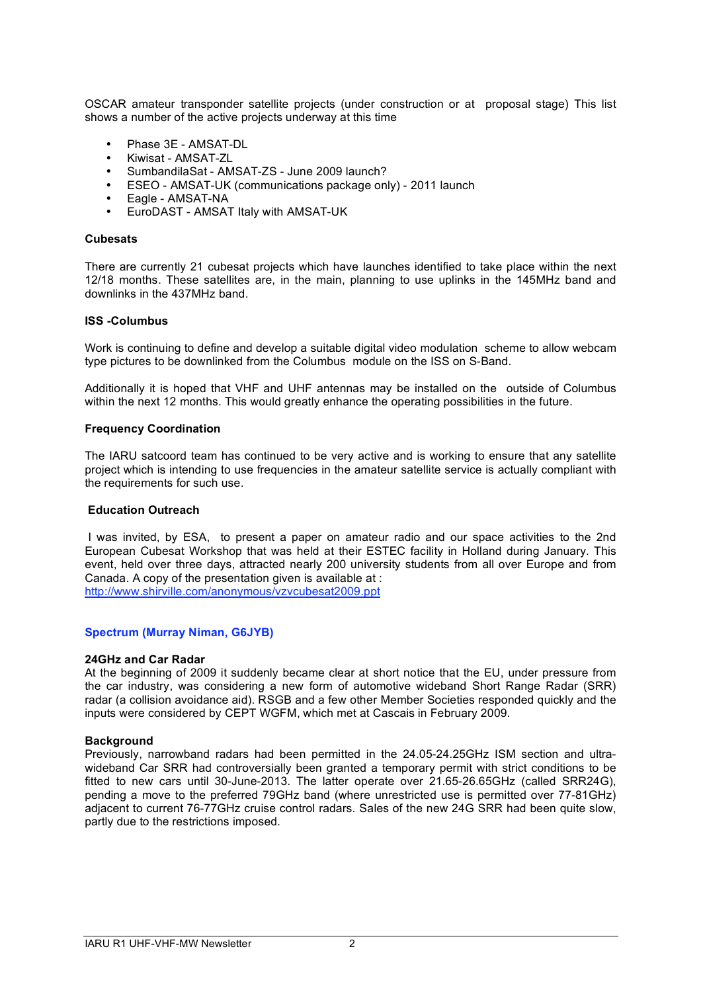OSCAR amateur transponder satellite projects (under construction or at proposal stage) This list shows a number of the active projects underway at this time

- Phase 3E AMSAT-DL
- Kiwisat AMSAT-ZL
- SumbandilaSat AMSAT-ZS June 2009 launch?
- ESEO AMSAT-UK (communications package only) 2011 launch
- Eagle AMSAT-NA
- EuroDAST AMSAT Italy with AMSAT-UK

#### **Cubesats**

There are currently 21 cubesat projects which have launches identified to take place within the next 12/18 months. These satellites are, in the main, planning to use uplinks in the 145MHz band and downlinks in the 437MHz band.

#### **ISS -Columbus**

Work is continuing to define and develop a suitable digital video modulation scheme to allow webcam type pictures to be downlinked from the Columbus module on the ISS on S-Band.

Additionally it is hoped that VHF and UHF antennas may be installed on the outside of Columbus within the next 12 months. This would greatly enhance the operating possibilities in the future.

#### **Frequency Coordination**

The IARU satcoord team has continued to be very active and is working to ensure that any satellite project which is intending to use frequencies in the amateur satellite service is actually compliant with the requirements for such use.

# **Education Outreach**

 I was invited, by ESA, to present a paper on amateur radio and our space activities to the 2nd European Cubesat Workshop that was held at their ESTEC facility in Holland during January. This event, held over three days, attracted nearly 200 university students from all over Europe and from Canada. A copy of the presentation given is available at : http://www.shirville.com/anonymous/vzvcubesat2009.ppt

#### **Spectrum (Murray Niman, G6JYB)**

#### **24GHz and Car Radar**

At the beginning of 2009 it suddenly became clear at short notice that the EU, under pressure from the car industry, was considering a new form of automotive wideband Short Range Radar (SRR) radar (a collision avoidance aid). RSGB and a few other Member Societies responded quickly and the inputs were considered by CEPT WGFM, which met at Cascais in February 2009.

#### **Background**

Previously, narrowband radars had been permitted in the 24.05-24.25GHz ISM section and ultrawideband Car SRR had controversially been granted a temporary permit with strict conditions to be fitted to new cars until 30-June-2013. The latter operate over 21.65-26.65GHz (called SRR24G), pending a move to the preferred 79GHz band (where unrestricted use is permitted over 77-81GHz) adjacent to current 76-77GHz cruise control radars. Sales of the new 24G SRR had been quite slow, partly due to the restrictions imposed.